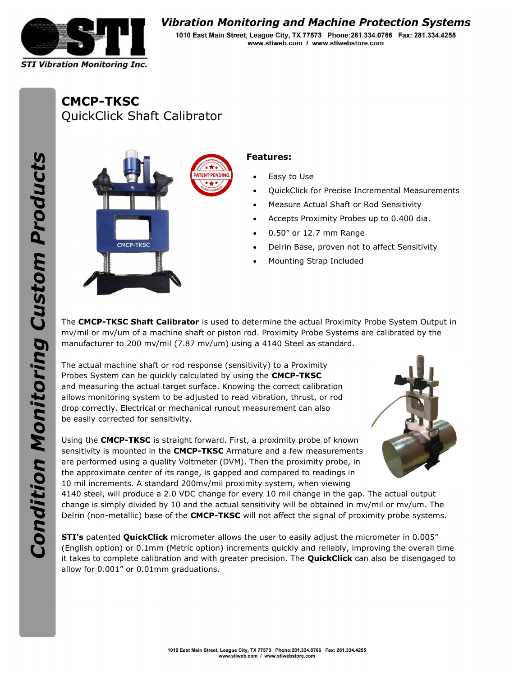

## Vibration Monitoring and Machine Protection Systems

1010 East Main Street, League City, TX 77573 Phone: 281.334.0766 Fax: 281.334.4255 www.stiweb.com / www.stiwebstore.com

CMCP-TKSC QuickClick Shaft Calibrator



## Features:

- Easy to Use
- QuickClick for Precise Incremental Measurements
- Measure Actual Shaft or Rod Sensitivity
- Accepts Proximity Probes up to 0.400 dia.
- 0.50" or 12.7 mm Range
- Delrin Base, proven not to affect Sensitivity
- Mounting Strap Included

The CMCP-TKSC Shaft Calibrator is used to determine the actual Proximity Probe System Output in mv/mil or mv/um of a machine shaft or piston rod. Proximity Probe Systems are calibrated by the manufacturer to 200 mv/mil (7.87 mv/um) using a 4140 Steel as standard.

The actual machine shaft or rod response (sensitivity) to a Proximity Probes System can be quickly calculated by using the **CMCP-TKSC** and measuring the actual target surface. Knowing the correct calibration allows monitoring system to be adjusted to read vibration, thrust, or rod drop correctly. Electrical or mechanical runout measurement can also be easily corrected for sensitivity.

Using the **CMCP-TKSC** is straight forward. First, a proximity probe of known sensitivity is mounted in the CMCP-TKSC Armature and a few measurements are performed using a quality Voltmeter (DVM). Then the proximity probe, in the approximate center of its range, is gapped and compared to readings in 10 mil increments. A standard 200mv/mil proximity system, when viewing



4140 steel, will produce a 2.0 VDC change for every 10 mil change in the gap. The actual output change is simply divided by 10 and the actual sensitivity will be obtained in mv/mil or mv/um. The Delrin (non-metallic) base of the **CMCP-TKSC** will not affect the signal of proximity probe systems.

STI's patented QuickClick micrometer allows the user to easily adjust the micrometer in 0.005" (English option) or 0.1mm (Metric option) increments quickly and reliably, improving the overall time it takes to complete calibration and with greater precision. The **QuickClick** can also be disengaged to allow for 0.001" or 0.01mm graduations.